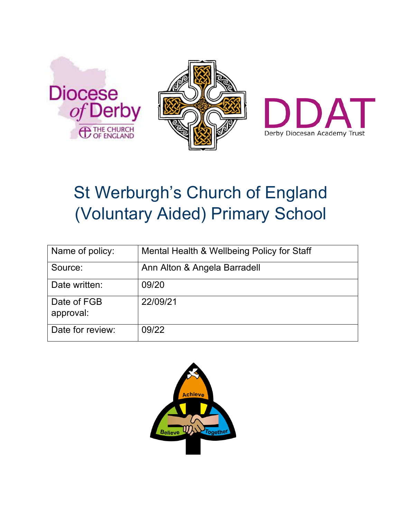





# St Werburgh's Church of England (Voluntary Aided) Primary School

| Name of policy:          | Mental Health & Wellbeing Policy for Staff |
|--------------------------|--------------------------------------------|
| Source:                  | Ann Alton & Angela Barradell               |
| Date written:            | 09/20                                      |
| Date of FGB<br>approval: | 22/09/21                                   |
| Date for review:         | 09/22                                      |

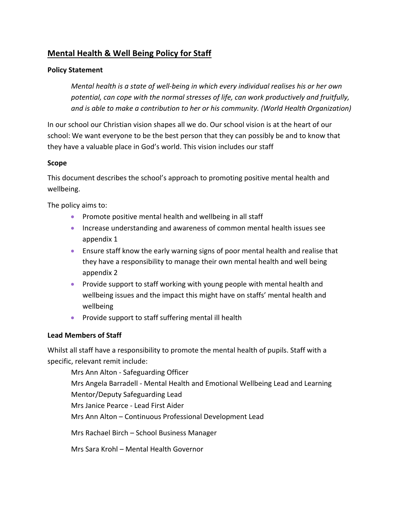# **Mental Health & Well Being Policy for Staff**

## **Policy Statement**

*Mental health is a state of well-being in which every individual realises his or her own potential, can cope with the normal stresses of life, can work productively and fruitfully, and is able to make a contribution to her or his community. (World Health Organization)* 

In our school our Christian vision shapes all we do. Our school vision is at the heart of our school: We want everyone to be the best person that they can possibly be and to know that they have a valuable place in God's world. This vision includes our staff

### **Scope**

This document describes the school's approach to promoting positive mental health and wellbeing.

The policy aims to:

- Promote positive mental health and wellbeing in all staff
- Increase understanding and awareness of common mental health issues see appendix 1
- Ensure staff know the early warning signs of poor mental health and realise that they have a responsibility to manage their own mental health and well being appendix 2
- Provide support to staff working with young people with mental health and wellbeing issues and the impact this might have on staffs' mental health and wellbeing
- Provide support to staff suffering mental ill health

### **Lead Members of Staff**

Whilst all staff have a responsibility to promote the mental health of pupils. Staff with a specific, relevant remit include:

Mrs Ann Alton - Safeguarding Officer Mrs Angela Barradell - Mental Health and Emotional Wellbeing Lead and Learning Mentor/Deputy Safeguarding Lead Mrs Janice Pearce - Lead First Aider Mrs Ann Alton – Continuous Professional Development Lead Mrs Rachael Birch – School Business Manager

Mrs Sara Krohl – Mental Health Governor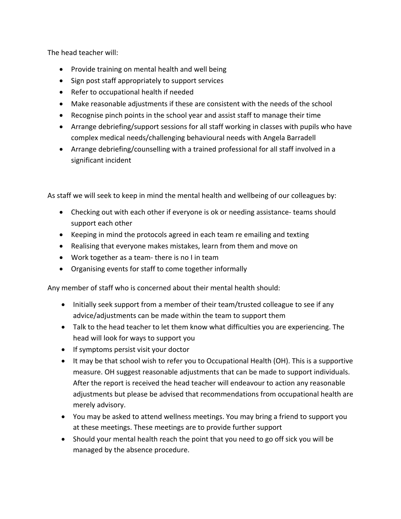The head teacher will:

- Provide training on mental health and well being
- Sign post staff appropriately to support services
- Refer to occupational health if needed
- Make reasonable adjustments if these are consistent with the needs of the school
- Recognise pinch points in the school year and assist staff to manage their time
- Arrange debriefing/support sessions for all staff working in classes with pupils who have complex medical needs/challenging behavioural needs with Angela Barradell
- Arrange debriefing/counselling with a trained professional for all staff involved in a significant incident

As staff we will seek to keep in mind the mental health and wellbeing of our colleagues by:

- Checking out with each other if everyone is ok or needing assistance- teams should support each other
- Keeping in mind the protocols agreed in each team re emailing and texting
- Realising that everyone makes mistakes, learn from them and move on
- Work together as a team- there is no I in team
- Organising events for staff to come together informally

Any member of staff who is concerned about their mental health should:

- Initially seek support from a member of their team/trusted colleague to see if any advice/adjustments can be made within the team to support them
- Talk to the head teacher to let them know what difficulties you are experiencing. The head will look for ways to support you
- If symptoms persist visit your doctor
- It may be that school wish to refer you to Occupational Health (OH). This is a supportive measure. OH suggest reasonable adjustments that can be made to support individuals. After the report is received the head teacher will endeavour to action any reasonable adjustments but please be advised that recommendations from occupational health are merely advisory.
- You may be asked to attend wellness meetings. You may bring a friend to support you at these meetings. These meetings are to provide further support
- Should your mental health reach the point that you need to go off sick you will be managed by the absence procedure.